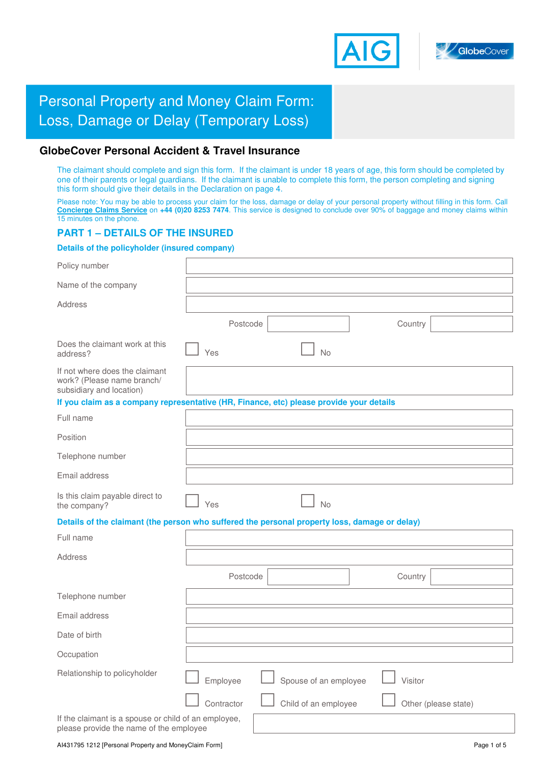



# **Personal Property and Money Claim Form:** Loss, Damage or Delay (Temporary Loss)

# **GlobeCover Personal Accident & Travel Insurance**

The claimant should complete and sign this form. If the claimant is under 18 years of age, this form should be completed by one of their parents or legal guardians. If the claimant is unable to complete this form, the person completing and signing this form should give their details in the Declaration on page 4.

Please note: You may be able to process your claim for the loss, damage or delay of your personal property without filling in this form. Call **Concierge Claims Service** on **+44 (0)20 8253 7474**. This service is designed to conclude over 90% of baggage and money claims within 15 minutes on the phone.

## **PART 1 – DETAILS OF THE INSURED**

#### **Details of the policyholder (insured company)**

| Policy number                                                                                                                                                                       |            |                       |         |                      |
|-------------------------------------------------------------------------------------------------------------------------------------------------------------------------------------|------------|-----------------------|---------|----------------------|
| Name of the company                                                                                                                                                                 |            |                       |         |                      |
| Address                                                                                                                                                                             |            |                       |         |                      |
|                                                                                                                                                                                     | Postcode   |                       | Country |                      |
| Does the claimant work at this<br>address?                                                                                                                                          | Yes        | <b>No</b>             |         |                      |
| If not where does the claimant<br>work? (Please name branch/<br>subsidiary and location)<br>If you claim as a company representative (HR, Finance, etc) please provide your details |            |                       |         |                      |
| Full name                                                                                                                                                                           |            |                       |         |                      |
| Position                                                                                                                                                                            |            |                       |         |                      |
| Telephone number                                                                                                                                                                    |            |                       |         |                      |
| Email address                                                                                                                                                                       |            |                       |         |                      |
| Is this claim payable direct to<br>the company?                                                                                                                                     | Yes        | <b>No</b>             |         |                      |
| Details of the claimant (the person who suffered the personal property loss, damage or delay)                                                                                       |            |                       |         |                      |
| Full name                                                                                                                                                                           |            |                       |         |                      |
| Address                                                                                                                                                                             |            |                       |         |                      |
|                                                                                                                                                                                     | Postcode   |                       | Country |                      |
| Telephone number                                                                                                                                                                    |            |                       |         |                      |
| Email address                                                                                                                                                                       |            |                       |         |                      |
| Date of birth                                                                                                                                                                       |            |                       |         |                      |
| Occupation                                                                                                                                                                          |            |                       |         |                      |
| Relationship to policyholder                                                                                                                                                        | Employee   | Spouse of an employee | Visitor |                      |
|                                                                                                                                                                                     | Contractor | Child of an employee  |         | Other (please state) |
| If the claimant is a spouse or child of an employee,<br>please provide the name of the employee                                                                                     |            |                       |         |                      |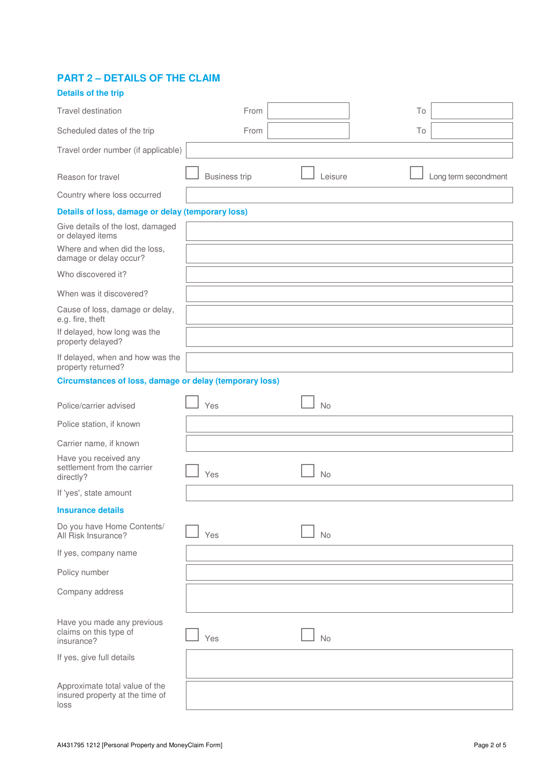# **PART 2 – DETAILS OF THE CLAIM**

| <b>Details of the trip</b>                                                |                      |         |    |                      |
|---------------------------------------------------------------------------|----------------------|---------|----|----------------------|
| Travel destination                                                        | From                 |         | To |                      |
| Scheduled dates of the trip                                               | From                 |         | To |                      |
| Travel order number (if applicable)                                       |                      |         |    |                      |
| Reason for travel                                                         | <b>Business trip</b> | Leisure |    | Long term secondment |
| Country where loss occurred                                               |                      |         |    |                      |
| Details of loss, damage or delay (temporary loss)                         |                      |         |    |                      |
| Give details of the lost, damaged<br>or delayed items                     |                      |         |    |                      |
| Where and when did the loss,<br>damage or delay occur?                    |                      |         |    |                      |
| Who discovered it?                                                        |                      |         |    |                      |
| When was it discovered?                                                   |                      |         |    |                      |
| Cause of loss, damage or delay,<br>e.g. fire, theft                       |                      |         |    |                      |
| If delayed, how long was the<br>property delayed?                         |                      |         |    |                      |
| If delayed, when and how was the<br>property returned?                    |                      |         |    |                      |
| <b>Circumstances of loss, damage or delay (temporary loss)</b>            |                      |         |    |                      |
| Police/carrier advised                                                    | Yes                  | No      |    |                      |
| Police station, if known                                                  |                      |         |    |                      |
| Carrier name, if known                                                    |                      |         |    |                      |
| Have you received any<br>settlement from the carrier<br>directly?         | Yes                  | No      |    |                      |
| If 'yes', state amount                                                    |                      |         |    |                      |
| <b>Insurance details</b>                                                  |                      |         |    |                      |
| Do you have Home Contents/<br>All Risk Insurance?                         | Yes                  | No      |    |                      |
| If yes, company name                                                      |                      |         |    |                      |
| Policy number                                                             |                      |         |    |                      |
| Company address                                                           |                      |         |    |                      |
| Have you made any previous<br>claims on this type of<br>insurance?        | Yes                  | No      |    |                      |
| If yes, give full details                                                 |                      |         |    |                      |
| Approximate total value of the<br>insured property at the time of<br>loss |                      |         |    |                      |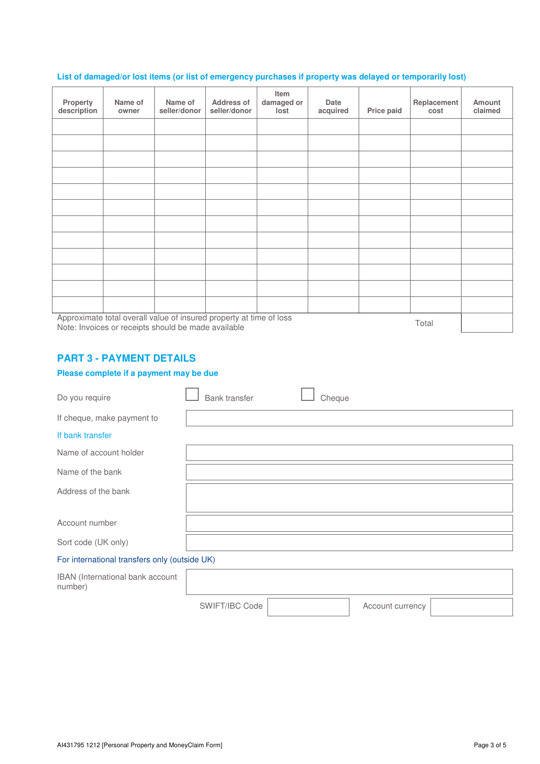### **List of damaged/or lost items (or list of emergency purchases if property was delayed or temporarily lost)**

| Property<br>description                                                                                                    | Name of<br>owner | Name of<br>seller/donor | <b>Address of</b><br>seller/donor | Item<br>damaged or<br>lost | <b>Date</b><br>acquired | Price paid | Replacement<br>cost | Amount<br>claimed |
|----------------------------------------------------------------------------------------------------------------------------|------------------|-------------------------|-----------------------------------|----------------------------|-------------------------|------------|---------------------|-------------------|
|                                                                                                                            |                  |                         |                                   |                            |                         |            |                     |                   |
|                                                                                                                            |                  |                         |                                   |                            |                         |            |                     |                   |
|                                                                                                                            |                  |                         |                                   |                            |                         |            |                     |                   |
|                                                                                                                            |                  |                         |                                   |                            |                         |            |                     |                   |
|                                                                                                                            |                  |                         |                                   |                            |                         |            |                     |                   |
|                                                                                                                            |                  |                         |                                   |                            |                         |            |                     |                   |
|                                                                                                                            |                  |                         |                                   |                            |                         |            |                     |                   |
|                                                                                                                            |                  |                         |                                   |                            |                         |            |                     |                   |
|                                                                                                                            |                  |                         |                                   |                            |                         |            |                     |                   |
|                                                                                                                            |                  |                         |                                   |                            |                         |            |                     |                   |
|                                                                                                                            |                  |                         |                                   |                            |                         |            |                     |                   |
|                                                                                                                            |                  |                         |                                   |                            |                         |            |                     |                   |
| Approximate total overall value of insured property at time of loss<br>Note: Invoices or receipts should be made available |                  |                         |                                   |                            | Total                   |            |                     |                   |

## **PART 3 - PAYMENT DETAILS**

| Please complete if a payment may be due       |                |        |                  |  |
|-----------------------------------------------|----------------|--------|------------------|--|
| Do you require                                | Bank transfer  | Cheque |                  |  |
| If cheque, make payment to                    |                |        |                  |  |
| If bank transfer                              |                |        |                  |  |
| Name of account holder                        |                |        |                  |  |
| Name of the bank                              |                |        |                  |  |
| Address of the bank                           |                |        |                  |  |
|                                               |                |        |                  |  |
| Account number                                |                |        |                  |  |
| Sort code (UK only)                           |                |        |                  |  |
| For international transfers only (outside UK) |                |        |                  |  |
| IBAN (International bank account<br>number)   |                |        |                  |  |
|                                               | SWIFT/IBC Code |        | Account currency |  |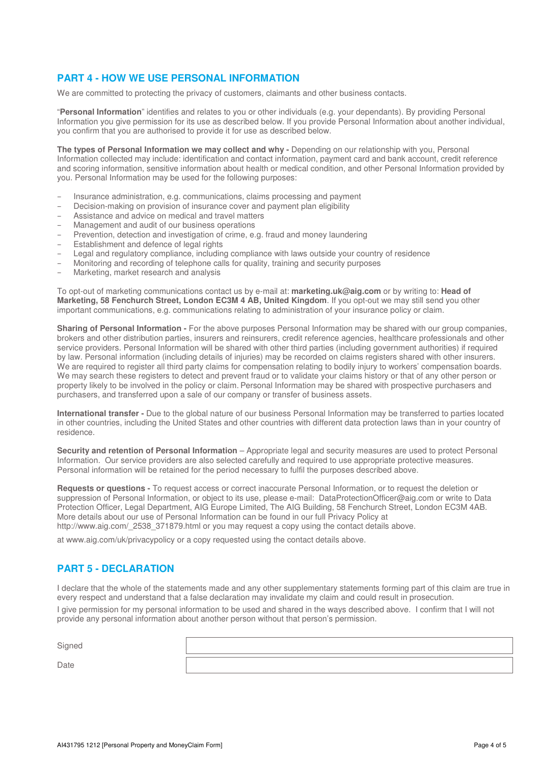## **PART 4 - HOW WE USE PERSONAL INFORMATION**

We are committed to protecting the privacy of customers, claimants and other business contacts.

"**Personal Information**" identifies and relates to you or other individuals (e.g. your dependants). By providing Personal Information you give permission for its use as described below. If you provide Personal Information about another individual, you confirm that you are authorised to provide it for use as described below.

The types of Personal Information we may collect and why - Depending on our relationship with you, Personal Information collected may include: identification and contact information, payment card and bank account, credit reference and scoring information, sensitive information about health or medical condition, and other Personal Information provided by you. Personal Information may be used for the following purposes:

- Insurance administration, e.g. communications, claims processing and payment
- Decision-making on provision of insurance cover and payment plan eligibility
- Assistance and advice on medical and travel matters
- Management and audit of our business operations
- Prevention, detection and investigation of crime, e.g. fraud and money laundering
- Establishment and defence of legal rights
- Legal and regulatory compliance, including compliance with laws outside your country of residence
- Monitoring and recording of telephone calls for quality, training and security purposes
- Marketing, market research and analysis

To opt-out of marketing communications contact us by e-mail at: **marketing.uk@aig.com** or by writing to: **Head of Marketing, 58 Fenchurch Street, London EC3M 4 AB, United Kingdom**. If you opt-out we may still send you other important communications, e.g. communications relating to administration of your insurance policy or claim.

**Sharing of Personal Information -** For the above purposes Personal Information may be shared with our group companies, brokers and other distribution parties, insurers and reinsurers, credit reference agencies, healthcare professionals and other service providers. Personal Information will be shared with other third parties (including government authorities) if required by law. Personal information (including details of injuries) may be recorded on claims registers shared with other insurers. We are required to register all third party claims for compensation relating to bodily injury to workers' compensation boards. We may search these registers to detect and prevent fraud or to validate your claims history or that of any other person or property likely to be involved in the policy or claim. Personal Information may be shared with prospective purchasers and purchasers, and transferred upon a sale of our company or transfer of business assets.

**International transfer -** Due to the global nature of our business Personal Information may be transferred to parties located in other countries, including the United States and other countries with different data protection laws than in your country of residence.

**Security and retention of Personal Information** – Appropriate legal and security measures are used to protect Personal Information. Our service providers are also selected carefully and required to use appropriate protective measures. Personal information will be retained for the period necessary to fulfil the purposes described above.

**Requests or questions -** To request access or correct inaccurate Personal Information, or to request the deletion or suppression of Personal Information, or object to its use, please e-mail: DataProtectionOfficer@aig.com or write to Data Protection Officer, Legal Department, AIG Europe Limited, The AIG Building, 58 Fenchurch Street, London EC3M 4AB. More details about our use of Personal Information can be found in our full Privacy Policy at http://www.aig.com/\_2538\_371879.html or you may request a copy using the contact details above.

at www.aig.com/uk/privacypolicy or a copy requested using the contact details above.

#### **PART 5 - DECLARATION**

I declare that the whole of the statements made and any other supplementary statements forming part of this claim are true in every respect and understand that a false declaration may invalidate my claim and could result in prosecution.

I give permission for my personal information to be used and shared in the ways described above. I confirm that I will not provide any personal information about another person without that person's permission.

**Signed** 

Date